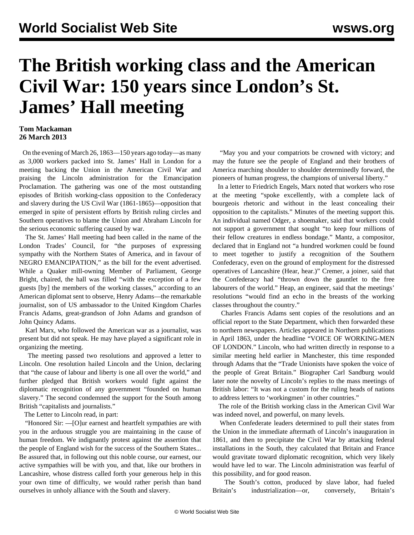## **The British working class and the American Civil War: 150 years since London's St. James' Hall meeting**

## **Tom Mackaman 26 March 2013**

 On the evening of March 26, 1863—150 years ago today—as many as 3,000 workers packed into St. James' Hall in London for a meeting backing the Union in the American Civil War and praising the Lincoln administration for the Emancipation Proclamation. The gathering was one of the most outstanding episodes of British working-class opposition to the Confederacy and slavery during the US Civil War (1861-1865)—opposition that emerged in spite of persistent efforts by British ruling circles and Southern operatives to blame the Union and Abraham Lincoln for the serious economic suffering caused by war.

 The St. James' Hall meeting had been called in the name of the London Trades' Council, for "the purposes of expressing sympathy with the Northern States of America, and in favour of NEGRO EMANCIPATION," as the bill for the event advertised. While a Quaker mill-owning Member of Parliament, George Bright, chaired, the hall was filled "with the exception of a few guests [by] the members of the working classes," according to an American diplomat sent to observe, Henry Adams—the remarkable journalist, son of US ambassador to the United Kingdom Charles Francis Adams, great-grandson of John Adams and grandson of John Quincy Adams.

 Karl Marx, who followed the American war as a journalist, was present but did not speak. He may have played a significant role in organizing the meeting.

 The meeting passed two resolutions and approved a letter to Lincoln. One resolution hailed Lincoln and the Union, declaring that "the cause of labour and liberty is one all over the world," and further pledged that British workers would fight against the diplomatic recognition of any government "founded on human slavery." The second condemned the support for the South among British "capitalists and journalists."

The Letter to Lincoln read, in part:

 "Honored Sir: —[O]ur earnest and heartfelt sympathies are with you in the arduous struggle you are maintaining in the cause of human freedom. We indignantly protest against the assertion that the people of England wish for the success of the Southern States... Be assured that, in following out this noble course, our earnest, our active sympathies will be with you, and that, like our brothers in Lancashire, whose distress called forth your generous help in this your own time of difficulty, we would rather perish than band ourselves in unholy alliance with the South and slavery.

 "May you and your compatriots be crowned with victory; and may the future see the people of England and their brothers of America marching shoulder to shoulder determinedly forward, the pioneers of human progress, the champions of universal liberty."

 In a letter to Friedrich Engels, Marx noted that workers who rose at the meeting "spoke excellently, with a complete lack of bourgeois rhetoric and without in the least concealing their opposition to the capitalists." Minutes of the meeting support this. An individual named Odger, a shoemaker, said that workers could not support a government that sought "to keep four millions of their fellow creatures in endless bondage." Mantz, a compositor, declared that in England not "a hundred workmen could be found to meet together to justify a recognition of the Southern Confederacy, even on the ground of employment for the distressed operatives of Lancashire (Hear, hear.)" Cremer, a joiner, said that the Confederacy had "thrown down the gauntlet to the free labourers of the world." Heap, an engineer, said that the meetings' resolutions "would find an echo in the breasts of the working classes throughout the country."

 Charles Francis Adams sent copies of the resolutions and an official report to the State Department, which then forwarded these to northern newspapers. Articles appeared in Northern publications in April 1863, under the headline "VOICE OF WORKING-MEN OF LONDON." Lincoln, who had written directly in response to a similar meeting held earlier in Manchester, this time responded through Adams that the "Trade Unionists have spoken the voice of the people of Great Britain." Biographer Carl Sandburg would later note the novelty of Lincoln's replies to the mass meetings of British labor: "It was not a custom for the ruling heads of nations to address letters to 'workingmen' in other countries."

 The role of the British working class in the American Civil War was indeed novel, and powerful, on many levels.

 When Confederate leaders determined to pull their states from the Union in the immediate aftermath of Lincoln's inauguration in 1861, and then to precipitate the Civil War by attacking federal installations in the South, they calculated that Britain and France would gravitate toward diplomatic recognition, which very likely would have led to war. The Lincoln administration was fearful of this possibility, and for good reason.

 The South's cotton, produced by slave labor, had fueled Britain's industrialization—or, conversely, Britain's